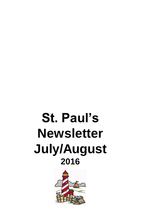# **St. Paul's Newsletter July/August 2016**

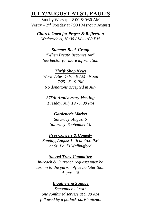# **JULY/AUGUST AT ST. PAUL'S**

Sunday Worship - 8:00 & 9:30 AM Vestry  $-2<sup>nd</sup>$  Tuesday at 7:00 PM (not in August)

*Church Open for Prayer & Reflection Wednesdays, 10:00 AM - 1:00 PM*

*Summer Book Group "When Breath Becomes Air" See Rector for more information*

*Thrift Shop News Work dates: 7/16 - 9 AM - Noon 7/25 - 6 - 9 PM No donations accepted in July*

*275th Anniversary Meeting Tuesday, July 19 - 7:00 PM*

*Gardener's Market Saturday, August 6 Saturday, September 10*

*Free Concert & Comedy Sunday, August 14th at 4:00 PM at St. Paul's Wallingford*

#### *Sacred Trust Committee*

*In-reach & Outreach requests must be turn in to the parish office no later than August 18*

### *Ingathering Sunday*

*September 11 with one combined service at 9:30 AM followed by a potluck parish picnic.*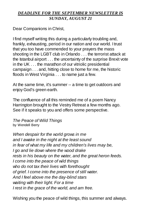# *DEADLINE FOR THE SEPTEMBER NEWSLETTER IS SUNDAY, AUGUST 21*

Dear Companions in Christ,

I find myself writing this during a particularly troubling and, frankly, exhausting, period in our nation and our world. I trust that you too have commended to your prayers the mass shooting in the LGBT club in Orlando . . . the terrorist attack at the Istanbul airport . . . the uncertainty of the surprise Brexit vote in the UK . . . the marathon of our vitriolic presidential campaign . . . and, hitting close to home for me, the historic floods in West Virginia . . . to name just a few.

At the same time, it's summer -- a time to get outdoors and enjoy God's green earth.

The confluence of all this reminded me of a poem Nancy Harrington brought to the Vestry Retreat a few months ago. See if it speaks to you and offers some perspective.

*The Peace of Wild Things* by Wendell Berry

*When despair for the world grows in me and I awake in the night at the least sound in fear of what my life and my children's lives may be, I go and lie down where the wood drake rests in his beauty on the water, and the great heron feeds. I come into the peace of wild things who do not tax their lives with forethought of grief. I come into the presence of still water. And I feel above me the day-blind stars waiting with their light. For a time I rest in the grace of the world, and am free.*

Wishing you the peace of wild things, this summer and always.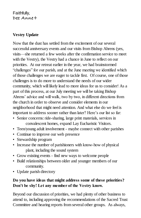## Faithfully, Dee Anne+

## **Vestry Update**

Now that the dust has settled from the excitement of our several successful anniversary events and our visits from Bishop Ahrens (yes, visits—she returned a few weeks after the confirmation service to meet with the Vestry), the Vestry had a chance in June to reflect on our priorities. At our retreat earlier in the year, we had brainstormed "challenges" for our parish, and at the June meeting we identified which of those challenges we are eager to tackle first. Of course, one of those challenges is to do more to understand the needs of our wider community, which will likely lead to more ideas for us to consider! As a part of this process, at our July meeting we will be taking Bishop Ahrens' advice and will walk, two by two, in different directions from the church in order to observe and consider elements in our neighborhood that might need attention. And what else do we feel is important to address sooner rather than later? Here's our list so far:

- Senior concerns: ride-sharing, large print materials, services in convalescent homes, expand Lay Eucharistic Visitors.
- Teen/young adult involvement maybe connect with other parishes
- Continue to improve our web presence
- Stewardship program
- Increase the number of parishioners with know-how of physical plant, including the sound system
- Grow existing events find new ways to welcome people
- Build relationships between older and younger members of our community.
- Update parish directory

# **Do you have ideas that might address some of these priorities? Don't be shy! Let any member of the Vestry know.**

Beyond our discussion of priorities, we had plenty of other business to attend to, including approving the recommendations of the Sacred Trust Committee and hearing reports from several other groups. As always,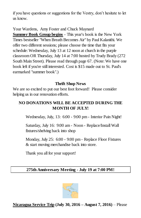if you have questions or suggestions for the Vestry, don't hesitate to let us know.

Your Wardens, Amy Foster and Chuck Maynard

**Summer Book Group begins** - This year's book is the New York Times bestseller "When Breath Becomes Air" by Paul Kalanithi. We offer two different sessions; please choose the time that fits your schedule: Wednesday, July 13 at 12 noon at church in the purple classroom OR Thursday, July 14 at 7:00 hosted by Trudy Brady (272 South Main Street). Please read through page 67. (Note: We have one book left if you're still interested. Cost is \$15 made out to St. Paul's earmarked "summer book".)

## **Thrift Shop News**

We are so excited to put our best foot forward! Please consider helping us in our renovation efforts.

# **NO DONATIONS WILL BE ACCEPTED DURING THE MONTH OF JULY!**

Wednesday, July, 13: 6:00 - 9:00 pm - Interior Pain Night!

Saturday, July 16: 9:00 am - Noon - Replace/Install Wall fixtures/shelving back into shop

Monday, July 25: 6:00 - 9:00 pm - Replace Floor Fixtures & start moving merchandise back into store.

Thank you all for your support!

## **275th Anniversary Meeting - July 19 at 7:00 PM!**



# **Nicaragua Service Trip (July 30, 2016 – August 7, 2016)** – Please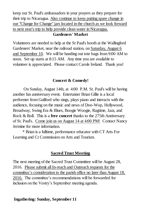keep our St. Paul's ambassadors in your prayers as they prepare for their trip to Nicaragua. Also continue to keep putting spare change in our "Change for Change" jars located in the church as we look forward to next year's trip to help provide clean water in Nicaragua.

#### **Gardeners' Market**

Volunteers are needed to help at the St Paul's booth at the Wallingford Gardeners' Market, near the railroad station, on Saturday, August 6 and September 10. We will be handing out tote bags from 9:00 AM to noon. Set up starts at 8:15 AM. Any time you are available to volunteer is appreciated. Please contact Carole Ireland. Thank you!

#### **Concert & Comedy!**

 On Sunday, August 14th, at 4:00 P.M. St. Paul's will be having another fun anniversary event. Entertainer Brian Gillie is a local performer from Guilford who sings, plays piano and interacts with the audience, focusing on the music and news of Doo-Wop, Hollywood, Broadway, Swing Era & Blues, Boogie Woogie, Ragtime, Jazz, and Rock & Roll. This is a **free concert** thanks to the 275th Anniversary of St. Paul's. Come join us on August 14 at 4:00 PM! Contact Nancy Jermine for more information.

 \* Brian is a fulltime, performance educator with CT Arts For Learning and Ct Commission on Arts and Tourism.

#### **Sacred Trust Meeting**

The next meeting of the Sacred Trust Committee will be August 28, 2016. Please submit all In-reach and Outreach requests for the committee's consideration to the parish office no later than August 18, 2016. The committee's recommendations will be forwarded for inclusion on the Vestry's September meeting agenda.

#### **Ingathering: Sunday, September 11**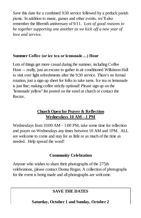Save this date for a combined 9:30 service followed by a potluck parish picnic. In addition to music, games and other events, we'll also remember the fifteenth anniversary of 9/11. *Lots of good reasons to be together supporting one another as we kick off a new year of love and service.*

## **Summer Coffee (or ice tea or lemonade…) Hour**

Lots of things get more casual during the summer, including Coffee Hour -- really, just an excuse to gather in air conditioned Wilkinson Hall to visit over light refreshments after the 9:30 service. There's no formal rotation, just a sign-up sheet for folks to take turns. Ice tea or lemonade is just fine; making coffee strictly optional! Please sign up on the "lemonade yellow" list posted on the easel at church or contact the Rector.

# **Church Open for Prayer & Reflection Wednesdays 10 AM - 1 PM**

Wednesdays from 10:00 AM - 1:00 PM, take some time for reflection and prayer on Wednesdays any times between 10 AM and 1PM. ALL are welcome to come and stay for as little or as much of the time as needed. Help spread the word!

## **Community Celebration**

Anyone who wishes to share their photographs of the 275th celebrations, please contact Donna Regan. A collection of photographs for the event is being made and all photographs are welcome.

# **SAVE THE DATES**

**Saturday, October 1 and Sunday, October 2**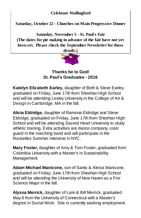## **Celebrate Wallingford**

**Saturday, October 22 - Churches on Main Progressive Dinner**

**Saturday, November 5 - St. Paul's Fair (The dates for pie making in advance of the fair have not yet been set. Please check the September Newsletter for those details.)**



**Thanks be to God! St. Paul's Graduates - 2016**

**Katelyn Elizabeth Earley,** daughter of Beth & Steve Earley, graduated on Friday, June 17th from Sheehan High School and will be attending Lesley University in the College of Art & Design in Cambridge, MA in the fall.

**Alicia Eldridge,** daughter of Ramona Eldridge and Steve Eldridge, graduated on Friday, June 17th from Sheehan High School and will be attending Sacred Heart University to study athletic training. Extra activities are dance company, color guard in the marching band and will participate in the Rockettes Summer intensive in NYC.

**Mary Foster,** daughter of Amy & Tom Foster, graduated from Columbia University with a Master's in Sustainability Management.

**Adam Michael Manicone,** son of Santo & Alesia Manicone, graduated on Friday, June 17th from Sheehan High School and will be attending the University of New Haven as a Fire Science Major in the fall.

**Alyssa Merrick,** daughter of Lynn & Bill Merrick, graduated May 8 from the University of Connecticut with a Master's degree in Social Work. She is currently seeking employment.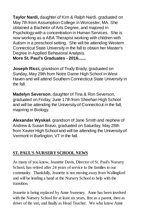**Taylor Nardi,** daughter of Kim & Ralph Nardi, graduated on May 7th from Assumption College in Worcester, MA. She obtained a Bachelor of Arts Degree, and majored in Psychology with a concentration in Human Services. She is now working as a ABA Therapist working with children with Autism in a preschool setting. She will be attending Western Connecticut State University in the fall to obtain her Master's Degree in Applied Behavioral Analysis. **More St. Paul's Graduates - 2016.......**

**Joseph Ricci,** grandson of Trudy Brady, graduated on Sunday, May 29th from Notre Dame High School in West Haven and will attend Southern Connecticut State University in the fall.

**Madelyn Severson**, daughter of Tina & Ron Severson, graduated on Friday, June 17th from Sheehan High School and will be attending the University of Connecticut in the fall, majoring in Biology.

**Alexander Wyskiel**, grandson of Jane Smith and nephew of Andrew & Susan Bravo, graduated on Saturday, May 28th from Xavier High School and will be attending the University of Vermont in Burlington, VT in the fall.

# **ST. PAUL'S NURSERY SCHOOL NEWS**

As many of you know, Jeanette Davis, Director of St. Paul's Nursery School, has retired after 24 years of service to the families in our community. Thankfully, Jeanette is not moving away from Wallingford and will be lending a hand at the Nursery School to help with the transition.

Jeanette is being replaced by Anne Sweeney. Anne has been involved with the Nursery School for at least six years, first as a parent, then as driver of the van, and finally as Head Teacher. We who know Anne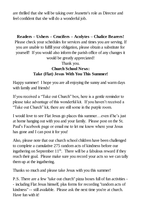are thrilled that she will be taking over Jeanette's role as Director and feel confident that she will do a wonderful job.

## **Readers – Ushers – Crucifers – Acolytes – Chalice Bearers!**

Please check your schedules for services and times you are serving. If you are unable to fulfill your obligation, please obtain a substitute for yourself! If you would also inform the parish office of any changes it would be greatly appreciated!

# Thank you. **Church School News: Take (Flat) Jesus With You This Summer!**

Happy summer! I hope you are all enjoying the sunny and warm days with family and friends!

If you received a "Take out Church" box, here is a gentle reminder to please take advantage of this wonderful kit. If you haven't received a "Take out Church" kit, there are still some in the purple room.

I would love to see Flat Jesus go places this summer…even if he's just at home hanging out with you and your family. Please post on the St. Paul's Facebook page or email me to let me know where your Jesus has gone and I can post it for you!

Also, please note that our church school children have been challenged to complete a cumulative 275 random acts of kindness before our ingathering on September  $11<sup>th</sup>$ . There will be a fabulous reward if they reach their goal. Please make sure you record your acts so we can tally them up at the ingathering.

Thanks so much and please take Jesus with you this summer!

P.S. There are a few "take out church" pizza boxes full of fun activities - - including Flat Jesus himself, plus forms for recording "random acts of kindness" -- still available. Please ask the next time you're at church. Have fun with it!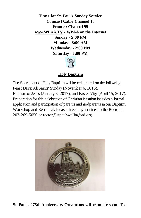**Times for St. Paul's Sunday Service Comcast Cable Channel 18 Frontier Channel 99 www.WPAA.TV** - **WPAA on the Internet Sunday - 5:00 PM Monday - 8:00 AM Wednesday - 2:00 PM Saturday - 7:00 PM**



## **Holy Baptism**

The Sacrament of Holy Baptism will be celebrated on the following Feast Days: All Saints' Sunday (November 6, 2016), Baptism of Jesus (January 8, 2017), and Easter Vigil (April 15, 2017). Preparation for this celebration of Christian initiation includes a formal application and participation of parents and godparents in our Baptism Workshop and Rehearsal. Please direct any inquiries to the Rector at 203-269-5050 o[r rector@stpaulswallingford.org.](mailto:rector@stpaulswallingford.org)



**St. Paul's 275th Anniversary Ornaments** will be on sale soon. The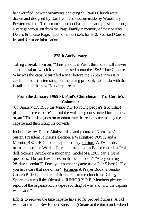hand-crafted, pewter ornaments depicting St. Paul's Church were drawn and designed by Dan Lyon and custom made by Woodbury Pewterer's, Inc. The ornament project has been made possible through a very generous gift from the Page Family in memory of their parents Dennis & Louise Page. Each ornament sells for \$10. Contact Carole Ireland for more information.

## **275th Anniversary**

Taking a break from our "Ministers of the Past", this month will answer some questions which have been raised about the 1965 Time Capsule. Why was the capsule installed a year before the 225th anniversary celebration? It is interesting, but the timing probably had to do with the installation of the new Holtkamp organ.

## **From the January 1965 St. Paul's Churchman "The Curate's Column":**

"On January 17, 1965 the Junior Y.P.F.(young people's fellowship) placed a "Time capsule" behind the wall being constructed for the new organ." The article goes on to enumerate the reasons for making the capsule and then listing the contents.

Included were: "Public Affairs: article and picture of Khrushkev's ouster, President Johnson's election, a Wallingford POST, and a Morning RECORD, and a map of the city. Culture: A TV Guide, mementoes of the World's Fair, a comic book, a Beatle record, a Troll doll. Science: Article on a moon trip, model of a 1965 car, a list of questions: "Do you have cities on the ocean floor?" "Are you using a 28-day calendar?" "Does your number system use a 2 or 5 base?" "Do you have cars that ride on air". Religion: A Prayer Book, a Sunday Church Bulletin, a picture of the interior of the church and Clergy. Sports: pictures if the Olympics. JUNIOR Y.P.F. Members pictures, a report of the organization, a tape recording of why and how the capsule was made."

Efforts to recover the time capsule have so far proved fruitless. A call was made to the Rev Robert Bretscher (Curate at the time) and, when I